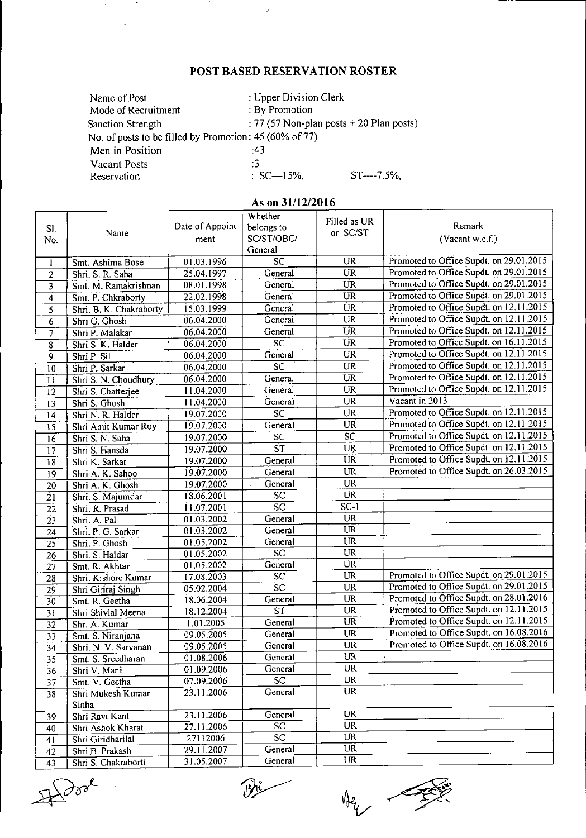## POST BASED RESERVATION ROSTER

| Name of Post                                           | : Upper Division Clerk |                                            |  |  |
|--------------------------------------------------------|------------------------|--------------------------------------------|--|--|
| Mode of Recruitment                                    | : By Promotion         |                                            |  |  |
| Sanction Strength                                      |                        | : 77 (57 Non-plan posts $+$ 20 Plan posts) |  |  |
| No. of posts to be filled by Promotion: 46 (60% of 77) |                        |                                            |  |  |
| Men in Position                                        | .43                    |                                            |  |  |
| Vacant Posts                                           | -3                     |                                            |  |  |
| Reservation                                            | $SC-15%$               | $ST---7.5%$                                |  |  |

 $\rightarrow$ 

 $\sim$  10  $\pm$ 

 $\alpha$ 

- 47

## As on 31/12/2016

|                         |                         |                 | Whether                | Filled as UR           |                                         |
|-------------------------|-------------------------|-----------------|------------------------|------------------------|-----------------------------------------|
| SI.                     | Name                    | Date of Appoint | belongs to             | or SC/ST               | Remark                                  |
| No.                     |                         | ment            | SC/ST/OBC/             |                        | (Vacant w.e.f.)                         |
|                         |                         |                 | General                |                        |                                         |
| $\mathbf{1}$            | Smt. Ashima Bose        | 01.03.1996      | $\overline{SC}$        | <b>UR</b>              | Promoted to Office Supdt. on 29.01.2015 |
| $\overline{2}$          | Shri. S. R. Saha        | 25.04.1997      | General                | <b>UR</b>              | Promoted to Office Supdt. on 29.01.2015 |
| $\overline{\mathbf{3}}$ | Smt. M. Ramakrishnan    | 08.01.1998      | General                | UR                     | Promoted to Office Supdt. on 29.01.2015 |
| $\overline{\mathbf{4}}$ | Smt. P. Chkraborty      | 22.02.1998      | General                | UR                     | Promoted to Office Supdt. on 29.01.2015 |
| $\overline{5}$          | Shri. B. K. Chakraborty | 15.03.1999      | General                | <b>UR</b>              | Promoted to Office Supdt. on 12.11.2015 |
| $\epsilon$              | Shri G. Ghosh           | 06.04.2000      | General                | UR                     | Promoted to Office Supdt. on 12.11.2015 |
| 7                       | Shri P. Malakar         | 06.04.2000      | General                | UR                     | Promoted to Office Supdt. on 12.11.2015 |
| $\overline{\mathbf{8}}$ | Shri S. K. Halder       | 06.04.2000      | $\overline{SC}$        | $\overline{\text{UR}}$ | Promoted to Office Supdt. on 16.11.2015 |
| $\overline{9}$          | Shri P. Sil             | 06.04.2000      | General                | <b>UR</b>              | Promoted to Office Supdt. on 12.11.2015 |
| 10                      | Shri P. Sarkar          | 06.04.2000      | SC                     | <b>UR</b>              | Promoted to Office Supdt. on 12.11.2015 |
| 11                      | Shri S. N. Choudhury    | 06.04.2000      | General                | <b>UR</b>              | Promoted to Office Supdt. on 12.11.2015 |
| $\overline{12}$         | Shri S. Chatterjee      | 11.04.2000      | General                | <b>UR</b>              | Promoted to Office Supdt. on 12.11.2015 |
| $\overline{13}$         | Shri S. Ghosh           | 11.04.2000      | General                | <b>UR</b>              | Vacant in 2013                          |
| $\overline{14}$         | Shri N. R. Halder       | 19.07.2000      | $\overline{SC}$        | <b>UR</b>              | Promoted to Office Supdt. on 12.11.2015 |
| 15                      | Shri Amit Kumar Roy     | 19.07.2000      | General                | <b>UR</b>              | Promoted to Office Supdt. on 12.11.2015 |
| 16                      | Shri S. N. Saha         | 19.07.2000      | SC                     | $\overline{SC}$        | Promoted to Office Supdt. on 12.11.2015 |
| 17                      | Shri S. Hansda          | 19.07.2000      | $\overline{\text{ST}}$ | <b>UR</b>              | Promoted to Office Supdt. on 12.11.2015 |
| 18                      | Shri K. Sarkar          | 19.07.2000      | General                | <b>UR</b>              | Promoted to Office Supdt. on 12.11.2015 |
| 19                      | Shri A. K. Sahoo        | 19.07.2000      | General                | UR                     | Promoted to Office Supdt. on 26.03.2015 |
| 20                      | Shri A. K. Ghosh        | 19.07.2000      | General                | <b>UR</b>              |                                         |
| $\overline{21}$         | Shri. S. Majumdar       | 18.06.2001      | <b>SC</b>              | <b>UR</b>              |                                         |
| 22                      | Shri. R. Prasad         | 11.07.2001      | $\overline{sc}$        | $SC-1$                 |                                         |
| 23                      | Shri A. Pal             | 01.03.2002      | General                | <b>UR</b>              |                                         |
| 24                      | Shri. P. G. Sarkar      | 01.03.2002      | General                | $\overline{\text{UR}}$ |                                         |
| 25                      | Shri. P. Ghosh          | 01.05.2002      | General                | UR                     |                                         |
| 26                      | Shri. S. Haldar         | 01.05.2002      | $\overline{\text{sc}}$ | UR                     |                                         |
| $\overline{27}$         | Smt. R. Akhtar          | 01.05.2002      | General                | <b>UR</b>              |                                         |
| 28                      | Shri. Kishore Kumar     | 17.08.2003      | $\overline{SC}$        | <b>UR</b>              | Promoted to Office Supdt. on 29.01.2015 |
| 29                      | Shri Giriraj Singh      | 05.02.2004      | $\overline{sc}$        | <b>UR</b>              | Promoted to Office Supdt. on 29.01.2015 |
| 30                      | Smt R Geetha            | 18.06.2004      | General                | <b>UR</b>              | Promoted to Office Supdt. on 28.01.2016 |
| $\overline{31}$         | Shri Shivlal Meena      | 18.12.2004      | $\overline{\text{ST}}$ | <b>UR</b>              | Promoted to Office Supdt. on 12.11.2015 |
| 32                      | Shr. A. Kumar           | 1.01.2005       | General                | $\overline{\text{UR}}$ | Promoted to Office Supdt. on 12.11.2015 |
| 33                      | Smt. S. Niranjana       | 09.05.2005      | General                | <b>UR</b>              | Promoted to Office Supdt. on 16.08.2016 |
| $\overline{34}$         | Shri. N. V. Sarvanan    | 09.05.2005      | General                | <b>UR</b>              | Promoted to Office Supdt. on 16.08.2016 |
| 35                      | Smt. S. Sreedharan      | 01.08.2006      | General                | UR                     |                                         |
| 36                      | Shri V. Mani            | 01.09.2006      | General                | UR                     |                                         |
| 37                      | Smt. V. Geetha          | 07.09.2006      | <b>SC</b>              | UR                     |                                         |
| $\overline{38}$         | Shri Mukesh Kumar       | 23.11.2006      | General                | UR                     |                                         |
|                         | Sinha                   |                 |                        |                        |                                         |
| 39                      | Shri Ravi Kant          | 23.11.2006      | General                | <b>UR</b>              |                                         |
| 40                      | Shri Ashok Kharat       | 27.11.2006      | SC.                    | UR                     |                                         |
| 41                      | Shri Giridharilal       | 27112006        | $\overline{SC}$        | <b>UR</b>              |                                         |
| 42                      | Shri B. Prakash         | 29.11.2007      | General                | UR                     |                                         |
| 43                      | Shri S. Chakraborti     | 31.05.2007      | General                | UR                     |                                         |

 $\mathbb{R}$  dook

Bi

Her -